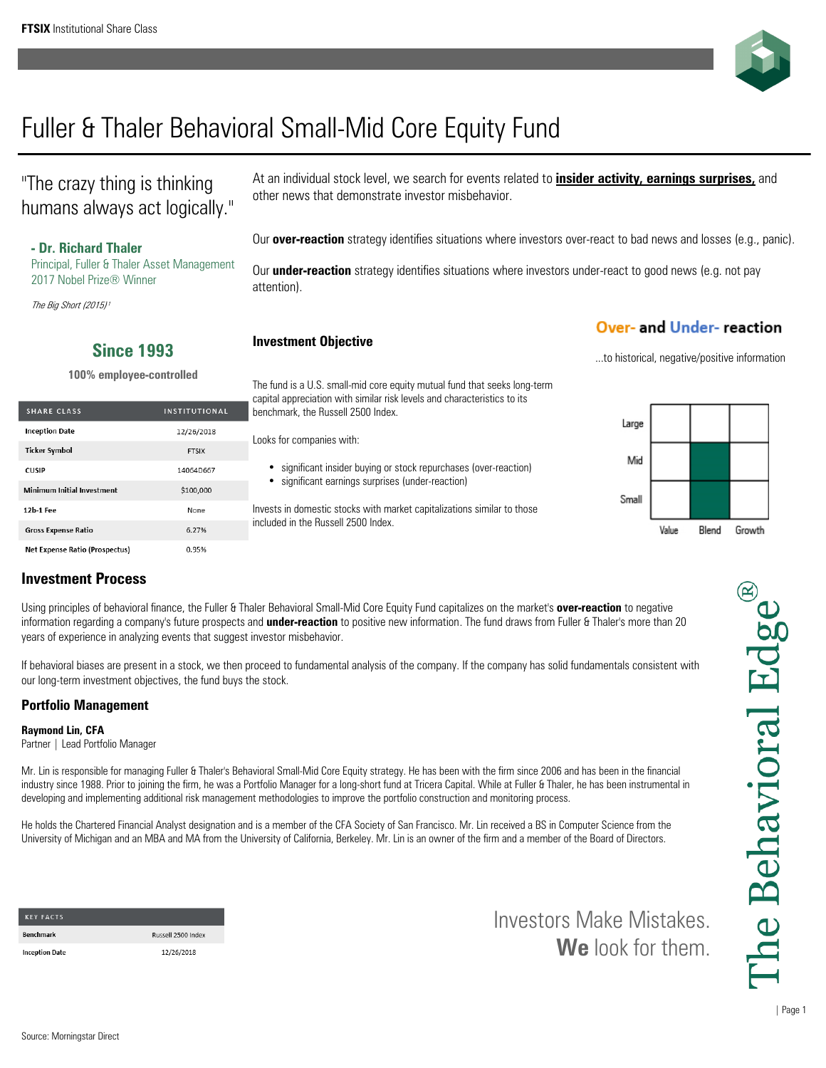

# Fuller & Thaler Behavioral Small-Mid Core Equity Fund

"The crazy thing is thinking humans always act logically."

### **- Dr. Richard Thaler**

Principal, Fuller & Thaler Asset Management 2017 Nobel Prize® Winner

The Big Short (2015)<sup>1</sup>

**Since 1993**

**100% employee-controlled**

| <b>SHARE CLASS</b>                    | INSTITUTIONAL |
|---------------------------------------|---------------|
| <b>Inception Date</b>                 | 12/26/2018    |
| <b>Ticker Symbol</b>                  | <b>FTSIX</b>  |
| <b>CUSIP</b>                          | 14064D667     |
| <b>Minimum Initial Investment</b>     | \$100.000     |
| 12b-1 Fee                             | None          |
| <b>Gross Expense Ratio</b>            | 6.27%         |
| <b>Net Expense Ratio (Prospectus)</b> | 0.95%         |

### At an individual stock level, we search for events related to **insider activity, earnings surprises,** and other news that demonstrate investor misbehavior.

Our **over-reaction** strategy identifies situations where investors over-react to bad news and losses (e.g., panic).

Our **under-reaction** strategy identifies situations where investors under-react to good news (e.g. not pay attention).

### **Investment Objective**

The fund is a U.S. small-mid core equity mutual fund that seeks long-term capital appreciation with similar risk levels and characteristics to its benchmark, the Russell 2500 Index.

Looks for companies with:

- significant insider buying or stock repurchases (over-reaction)
- significant earnings surprises (under-reaction)

Invests in domestic stocks with market capitalizations similar to those included in the Russell 2500 Index.

# **Over- and Under- reaction**

...to historical, negative/positive information



## **Investment Process**

Using principles of behavioral finance, the Fuller & Thaler Behavioral Small-Mid Core Equity Fund capitalizes on the market's **over-reaction** to negative information regarding a company's future prospects and **under-reaction** to positive new information. The fund draws from Fuller & Thaler's more than 20 years of experience in analyzing events that suggest investor misbehavior.

If behavioral biases are present in a stock, we then proceed to fundamental analysis of the company. If the company has solid fundamentals consistent with our long-term investment objectives, the fund buys the stock.

### **Portfolio Management**

### **Raymond Lin, CFA**

Partner | Lead Portfolio Manager

Mr. Lin is responsible for managing Fuller & Thaler's Behavioral Small-Mid Core Equity strategy. He has been with the firm since 2006 and has been in the financial industry since 1988. Prior to joining the firm, he was a Portfolio Manager for a long-short fund at Tricera Capital. While at Fuller & Thaler, he has been instrumental in developing and implementing additional risk management methodologies to improve the portfolio construction and monitoring process.

He holds the Chartered Financial Analyst designation and is a member of the CFA Society of San Francisco. Mr. Lin received a BS in Computer Science from the University of Michigan and an MBA and MA from the University of California, Berkeley. Mr. Lin is an owner of the firm and a member of the Board of Directors.

| <b>KEY FACTS</b>      |                    |
|-----------------------|--------------------|
| <b>Benchmark</b>      | Russell 2500 Index |
| <b>Inception Date</b> | 12/26/2018         |

Investors Make Mistakes. **We** look for them.